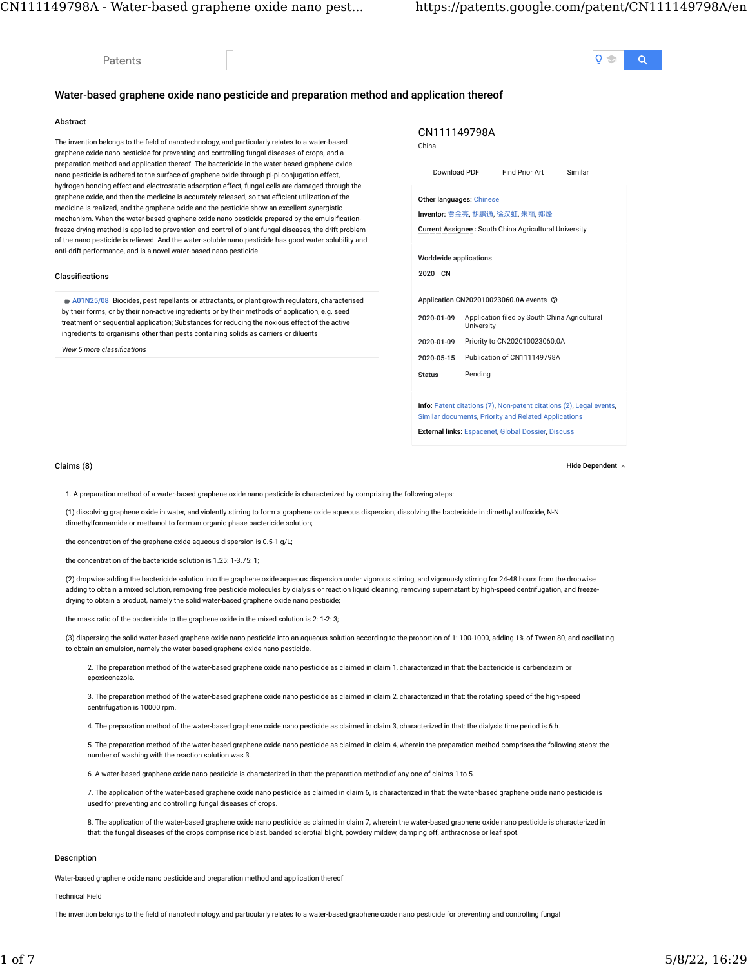# Water-based graphene oxide nano pesticide and preparation method and application thereof

## Abstract

[Patents](https://patents.google.com/patent/CN111149798A/en#)

The invention belongs to the field of nanotechnology, and particularly relates to a water-based graphene oxide nano pesticide for preventing and controlling fungal diseases of crops, and a preparation method and application thereof. The bactericide in the water-based graphene oxide nano pesticide is adhered to the surface of graphene oxide through pi-pi conjugation effect, hydrogen bonding effect and electrostatic adsorption effect, fungal cells are damaged through the graphene oxide, and then the medicine is accurately released, so that efficient utilization of the medicine is realized, and the graphene oxide and the pesticide show an excellent synergistic mechanism. When the water-based graphene oxide nano pesticide prepared by the emulsificationfreeze drying method is applied to prevention and control of plant fungal diseases, the drift problem of the nano pesticide is relieved. And the water-soluble nano pesticide has good water solubility and anti-drift performance, and is a novel water-based nano pesticide.

## **Classifications**

[A01N25/08](https://patents.google.com/patent/CN111149798A/en#) Biocides, pest repellants or attractants, or plant growth regulators, characterised by their forms, or by their non-active ingredients or by their methods of application, e.g. seed treatment or sequential application; Substances for reducing the noxious effect of the active ingredients to organisms other than pests containing solids as carriers or diluents

*View 5 more classi�cations*

| CN111149798A<br>China                                                                                                              |                               |                                                       |         |  |  |
|------------------------------------------------------------------------------------------------------------------------------------|-------------------------------|-------------------------------------------------------|---------|--|--|
| Download PDF                                                                                                                       |                               | Find Prior Art                                        | Similar |  |  |
| <b>Other languages: Chinese</b>                                                                                                    |                               |                                                       |         |  |  |
|                                                                                                                                    |                               | Inventor: 贾金亮, 胡鹏通, 徐汉虹, 朱丽, 郑烽                       |         |  |  |
|                                                                                                                                    |                               | Current Assignee: South China Agricultural University |         |  |  |
| Worldwide applications<br>2020 CN                                                                                                  |                               |                                                       |         |  |  |
|                                                                                                                                    |                               | Application CN202010023060.0A events 7                |         |  |  |
| 2020-01-09                                                                                                                         | University                    | Application filed by South China Agricultural         |         |  |  |
| 2020-01-09                                                                                                                         | Priority to CN202010023060.0A |                                                       |         |  |  |
| 2020-05-15                                                                                                                         | Publication of CN111149798A   |                                                       |         |  |  |
| <b>Status</b>                                                                                                                      | Pending                       |                                                       |         |  |  |
|                                                                                                                                    |                               |                                                       |         |  |  |
| <b>Info:</b> Patent citations (7), Non-patent citations (2), Legal events.<br>Similar documents, Priority and Related Applications |                               |                                                       |         |  |  |
| <b>External links: Espacenet, Global Dossier, Discuss</b>                                                                          |                               |                                                       |         |  |  |

Claims (8) Hide Dependent

1. A preparation method of a water-based graphene oxide nano pesticide is characterized by comprising the following steps:

(1) dissolving graphene oxide in water, and violently stirring to form a graphene oxide aqueous dispersion; dissolving the bactericide in dimethyl sulfoxide, N-N dimethylformamide or methanol to form an organic phase bactericide solution;

the concentration of the graphene oxide aqueous dispersion is 0.5-1 g/L;

the concentration of the bactericide solution is 1.25: 1-3.75: 1;

(2) dropwise adding the bactericide solution into the graphene oxide aqueous dispersion under vigorous stirring, and vigorously stirring for 24-48 hours from the dropwise adding to obtain a mixed solution, removing free pesticide molecules by dialysis or reaction liquid cleaning, removing supernatant by high-speed centrifugation, and freezedrying to obtain a product, namely the solid water-based graphene oxide nano pesticide;

the mass ratio of the bactericide to the graphene oxide in the mixed solution is 2: 1-2: 3;

(3) dispersing the solid water-based graphene oxide nano pesticide into an aqueous solution according to the proportion of 1: 100-1000, adding 1% of Tween 80, and oscillating to obtain an emulsion, namely the water-based graphene oxide nano pesticide.

2. The preparation method of the water-based graphene oxide nano pesticide as claimed in claim 1, characterized in that: the bactericide is carbendazim or epoxiconazole.

3. The preparation method of the water-based graphene oxide nano pesticide as claimed in claim 2, characterized in that: the rotating speed of the high-speed centrifugation is 10000 rpm.

4. The preparation method of the water-based graphene oxide nano pesticide as claimed in claim 3, characterized in that: the dialysis time period is 6 h.

5. The preparation method of the water-based graphene oxide nano pesticide as claimed in claim 4, wherein the preparation method comprises the following steps: the number of washing with the reaction solution was 3.

6. A water-based graphene oxide nano pesticide is characterized in that: the preparation method of any one of claims 1 to 5.

7. The application of the water-based graphene oxide nano pesticide as claimed in claim 6, is characterized in that: the water-based graphene oxide nano pesticide is used for preventing and controlling fungal diseases of crops.

8. The application of the water-based graphene oxide nano pesticide as claimed in claim 7, wherein the water-based graphene oxide nano pesticide is characterized in that: the fungal diseases of the crops comprise rice blast, banded sclerotial blight, powdery mildew, damping off, anthracnose or leaf spot.

# Description

Water-based graphene oxide nano pesticide and preparation method and application thereof

Technical Field

The invention belongs to the field of nanotechnology, and particularly relates to a water-based graphene oxide nano pesticide for preventing and controlling fungal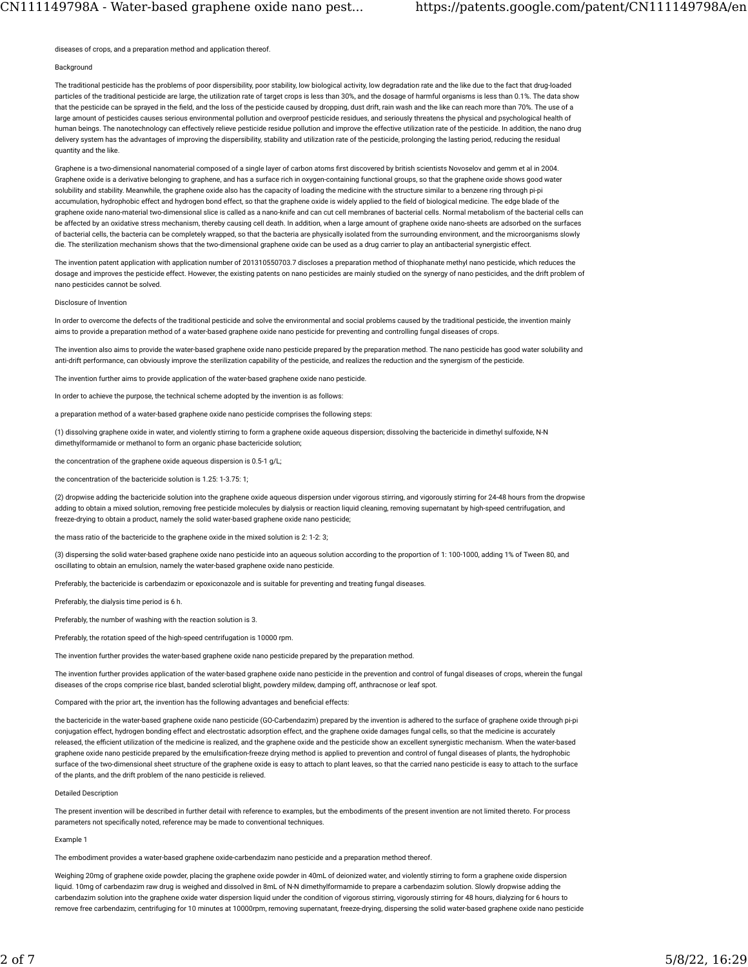diseases of crops, and a preparation method and application thereof.

#### Background

The traditional pesticide has the problems of poor dispersibility, poor stability, low biological activity, low degradation rate and the like due to the fact that drug-loaded particles of the traditional pesticide are large, the utilization rate of target crops is less than 30%, and the dosage of harmful organisms is less than 0.1%. The data show that the pesticide can be sprayed in the field, and the loss of the pesticide caused by dropping, dust drift, rain wash and the like can reach more than 70%. The use of a large amount of pesticides causes serious environmental pollution and overproof pesticide residues, and seriously threatens the physical and psychological health of human beings. The nanotechnology can effectively relieve pesticide residue pollution and improve the effective utilization rate of the pesticide. In addition, the nano drug delivery system has the advantages of improving the dispersibility, stability and utilization rate of the pesticide, prolonging the lasting period, reducing the residual quantity and the like.

Graphene is a two-dimensional nanomaterial composed of a single layer of carbon atoms first discovered by british scientists Novoselov and gemm et al in 2004. Graphene oxide is a derivative belonging to graphene, and has a surface rich in oxygen-containing functional groups, so that the graphene oxide shows good water solubility and stability. Meanwhile, the graphene oxide also has the capacity of loading the medicine with the structure similar to a benzene ring through pi-pi accumulation, hydrophobic effect and hydrogen bond effect, so that the graphene oxide is widely applied to the field of biological medicine. The edge blade of the graphene oxide nano-material two-dimensional slice is called as a nano-knife and can cut cell membranes of bacterial cells. Normal metabolism of the bacterial cells can be affected by an oxidative stress mechanism, thereby causing cell death. In addition, when a large amount of graphene oxide nano-sheets are adsorbed on the surfaces of bacterial cells, the bacteria can be completely wrapped, so that the bacteria are physically isolated from the surrounding environment, and the microorganisms slowly die. The sterilization mechanism shows that the two-dimensional graphene oxide can be used as a drug carrier to play an antibacterial synergistic effect.

The invention patent application with application number of 201310550703.7 discloses a preparation method of thiophanate methyl nano pesticide, which reduces the dosage and improves the pesticide effect. However, the existing patents on nano pesticides are mainly studied on the synergy of nano pesticides, and the drift problem of nano pesticides cannot be solved.

## Disclosure of Invention

In order to overcome the defects of the traditional pesticide and solve the environmental and social problems caused by the traditional pesticide, the invention mainly aims to provide a preparation method of a water-based graphene oxide nano pesticide for preventing and controlling fungal diseases of crops.

The invention also aims to provide the water-based graphene oxide nano pesticide prepared by the preparation method. The nano pesticide has good water solubility and anti-drift performance, can obviously improve the sterilization capability of the pesticide, and realizes the reduction and the synergism of the pesticide.

The invention further aims to provide application of the water-based graphene oxide nano pesticide.

In order to achieve the purpose, the technical scheme adopted by the invention is as follows:

a preparation method of a water-based graphene oxide nano pesticide comprises the following steps:

(1) dissolving graphene oxide in water, and violently stirring to form a graphene oxide aqueous dispersion; dissolving the bactericide in dimethyl sulfoxide, N-N dimethylformamide or methanol to form an organic phase bactericide solution;

## the concentration of the graphene oxide aqueous dispersion is 0.5-1 g/L;

the concentration of the bactericide solution is 1.25: 1-3.75: 1;

(2) dropwise adding the bactericide solution into the graphene oxide aqueous dispersion under vigorous stirring, and vigorously stirring for 24-48 hours from the dropwise adding to obtain a mixed solution, removing free pesticide molecules by dialysis or reaction liquid cleaning, removing supernatant by high-speed centrifugation, and freeze-drying to obtain a product, namely the solid water-based graphene oxide nano pesticide;

the mass ratio of the bactericide to the graphene oxide in the mixed solution is 2: 1-2: 3;

(3) dispersing the solid water-based graphene oxide nano pesticide into an aqueous solution according to the proportion of 1: 100-1000, adding 1% of Tween 80, and oscillating to obtain an emulsion, namely the water-based graphene oxide nano pesticide.

Preferably, the bactericide is carbendazim or epoxiconazole and is suitable for preventing and treating fungal diseases.

Preferably, the dialysis time period is 6 h.

Preferably, the number of washing with the reaction solution is 3.

Preferably, the rotation speed of the high-speed centrifugation is 10000 rpm.

The invention further provides the water-based graphene oxide nano pesticide prepared by the preparation method.

The invention further provides application of the water-based graphene oxide nano pesticide in the prevention and control of fungal diseases of crops, wherein the fungal diseases of the crops comprise rice blast, banded sclerotial blight, powdery mildew, damping off, anthracnose or leaf spot.

Compared with the prior art, the invention has the following advantages and beneficial effects:

the bactericide in the water-based graphene oxide nano pesticide (GO-Carbendazim) prepared by the invention is adhered to the surface of graphene oxide through pi-pi conjugation effect, hydrogen bonding effect and electrostatic adsorption effect, and the graphene oxide damages fungal cells, so that the medicine is accurately released, the efficient utilization of the medicine is realized, and the graphene oxide and the pesticide show an excellent synergistic mechanism. When the water-based graphene oxide nano pesticide prepared by the emulsification-freeze drying method is applied to prevention and control of fungal diseases of plants, the hydrophobic surface of the two-dimensional sheet structure of the graphene oxide is easy to attach to plant leaves, so that the carried nano pesticide is easy to attach to the surface of the plants, and the drift problem of the nano pesticide is relieved.

## Detailed Description

The present invention will be described in further detail with reference to examples, but the embodiments of the present invention are not limited thereto. For process parameters not specifically noted, reference may be made to conventional techniques.

#### Example 1

The embodiment provides a water-based graphene oxide-carbendazim nano pesticide and a preparation method thereof.

Weighing 20mg of graphene oxide powder, placing the graphene oxide powder in 40mL of deionized water, and violently stirring to form a graphene oxide dispersion liquid. 10mg of carbendazim raw drug is weighed and dissolved in 8mL of N-N dimethylformamide to prepare a carbendazim solution. Slowly dropwise adding the carbendazim solution into the graphene oxide water dispersion liquid under the condition of vigorous stirring, vigorously stirring for 48 hours, dialyzing for 6 hours to remove free carbendazim, centrifuging for 10 minutes at 10000rpm, removing supernatant, freeze-drying, dispersing the solid water-based graphene oxide nano pesticide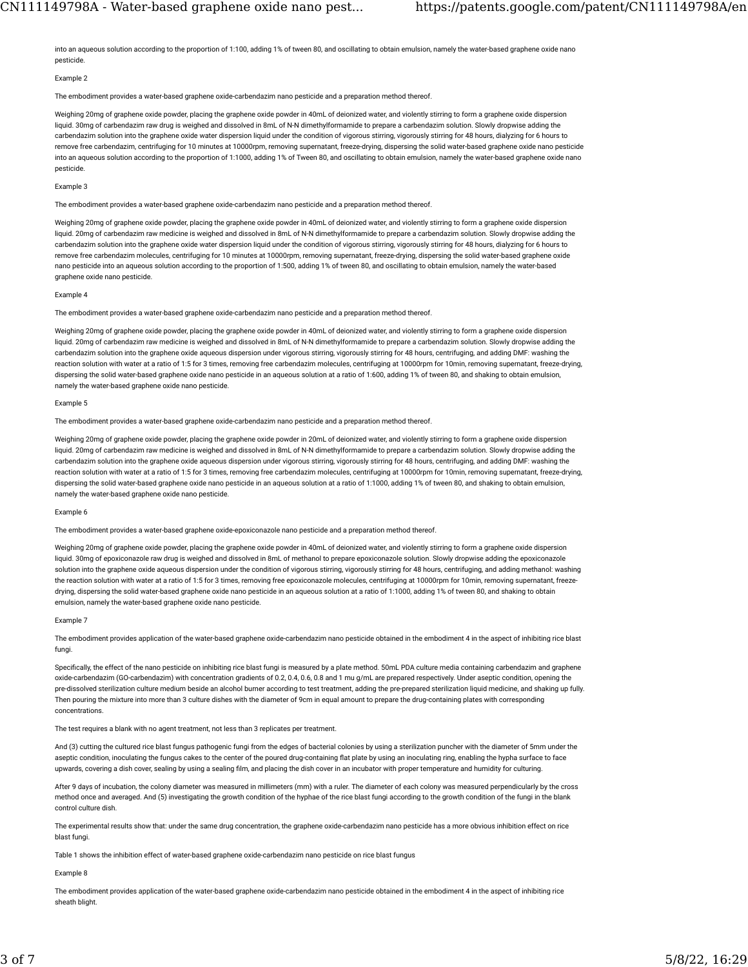into an aqueous solution according to the proportion of 1:100, adding 1% of tween 80, and oscillating to obtain emulsion, namely the water-based graphene oxide nano pesticide.

# Example 2

The embodiment provides a water-based graphene oxide-carbendazim nano pesticide and a preparation method thereof

Weighing 20mg of graphene oxide powder, placing the graphene oxide powder in 40mL of deionized water, and violently stirring to form a graphene oxide dispersion liquid. 30mg of carbendazim raw drug is weighed and dissolved in 8mL of N-N dimethylformamide to prepare a carbendazim solution. Slowly dropwise adding the carbendazim solution into the graphene oxide water dispersion liquid under the condition of vigorous stirring, vigorously stirring for 48 hours, dialyzing for 6 hours to remove free carbendazim, centrifuging for 10 minutes at 10000rpm, removing supernatant, freeze-drying, dispersing the solid water-based graphene oxide nano pesticide into an aqueous solution according to the proportion of 1:1000, adding 1% of Tween 80, and oscillating to obtain emulsion, namely the water-based graphene oxide nano pesticide.

#### Example 3

The embodiment provides a water-based graphene oxide-carbendazim nano pesticide and a preparation method thereof.

Weighing 20mg of graphene oxide powder, placing the graphene oxide powder in 40mL of deionized water, and violently stirring to form a graphene oxide dispersion liquid. 20mg of carbendazim raw medicine is weighed and dissolved in 8mL of N-N dimethylformamide to prepare a carbendazim solution. Slowly dropwise adding the carbendazim solution into the graphene oxide water dispersion liquid under the condition of vigorous stirring, vigorously stirring for 48 hours, dialyzing for 6 hours to remove free carbendazim molecules, centrifuging for 10 minutes at 10000rpm, removing supernatant, freeze-drying, dispersing the solid water-based graphene oxide nano pesticide into an aqueous solution according to the proportion of 1:500, adding 1% of tween 80, and oscillating to obtain emulsion, namely the water-based graphene oxide nano pesticide.

#### Example 4

The embodiment provides a water-based graphene oxide-carbendazim nano pesticide and a preparation method thereof.

Weighing 20mg of graphene oxide powder, placing the graphene oxide powder in 40mL of deionized water, and violently stirring to form a graphene oxide dispersion liquid. 20mg of carbendazim raw medicine is weighed and dissolved in 8mL of N-N dimethylformamide to prepare a carbendazim solution. Slowly dropwise adding the carbendazim solution into the graphene oxide aqueous dispersion under vigorous stirring, vigorously stirring for 48 hours, centrifuging, and adding DMF: washing the reaction solution with water at a ratio of 1:5 for 3 times, removing free carbendazim molecules, centrifuging at 10000rpm for 10min, removing supernatant, freeze-drying, dispersing the solid water-based graphene oxide nano pesticide in an aqueous solution at a ratio of 1:600, adding 1% of tween 80, and shaking to obtain emulsion, namely the water-based graphene oxide nano pesticide.

### Example 5

The embodiment provides a water-based graphene oxide-carbendazim nano pesticide and a preparation method thereof.

Weighing 20mg of graphene oxide powder, placing the graphene oxide powder in 20mL of deionized water, and violently stirring to form a graphene oxide dispersion liquid. 20mg of carbendazim raw medicine is weighed and dissolved in 8mL of N-N dimethylformamide to prepare a carbendazim solution. Slowly dropwise adding the carbendazim solution into the graphene oxide aqueous dispersion under vigorous stirring, vigorously stirring for 48 hours, centrifuging, and adding DMF: washing the reaction solution with water at a ratio of 1:5 for 3 times, removing free carbendazim molecules, centrifuging at 10000rpm for 10min, removing supernatant, freeze-drying, dispersing the solid water-based graphene oxide nano pesticide in an aqueous solution at a ratio of 1:1000, adding 1% of tween 80, and shaking to obtain emulsion, namely the water-based graphene oxide nano pesticide.

#### Example 6

The embodiment provides a water-based graphene oxide-epoxiconazole nano pesticide and a preparation method thereof.

Weighing 20mg of graphene oxide powder, placing the graphene oxide powder in 40mL of deionized water, and violently stirring to form a graphene oxide dispersion liquid. 30mg of epoxiconazole raw drug is weighed and dissolved in 8mL of methanol to prepare epoxiconazole solution. Slowly dropwise adding the epoxiconazole solution into the graphene oxide aqueous dispersion under the condition of vigorous stirring, vigorously stirring for 48 hours, centrifuging, and adding methanol: washing the reaction solution with water at a ratio of 1:5 for 3 times, removing free epoxiconazole molecules, centrifuging at 10000rpm for 10min, removing supernatant, freezedrying, dispersing the solid water-based graphene oxide nano pesticide in an aqueous solution at a ratio of 1:1000, adding 1% of tween 80, and shaking to obtain emulsion, namely the water-based graphene oxide nano pesticide.

#### Example 7

The embodiment provides application of the water-based graphene oxide-carbendazim nano pesticide obtained in the embodiment 4 in the aspect of inhibiting rice blast fungi.

Specifically, the effect of the nano pesticide on inhibiting rice blast fungi is measured by a plate method. 50mL PDA culture media containing carbendazim and graphene oxide-carbendazim (GO-carbendazim) with concentration gradients of 0.2, 0.4, 0.6, 0.8 and 1 mu g/mL are prepared respectively. Under aseptic condition, opening the pre-dissolved sterilization culture medium beside an alcohol burner according to test treatment, adding the pre-prepared sterilization liquid medicine, and shaking up fully. Then pouring the mixture into more than 3 culture dishes with the diameter of 9cm in equal amount to prepare the drug-containing plates with corresponding concentrations.

The test requires a blank with no agent treatment, not less than 3 replicates per treatment.

And (3) cutting the cultured rice blast fungus pathogenic fungi from the edges of bacterial colonies by using a sterilization puncher with the diameter of 5mm under the aseptic condition, inoculating the fungus cakes to the center of the poured drug-containing flat plate by using an inoculating ring, enabling the hypha surface to face upwards, covering a dish cover, sealing by using a sealing film, and placing the dish cover in an incubator with proper temperature and humidity for culturing.

After 9 days of incubation, the colony diameter was measured in millimeters (mm) with a ruler. The diameter of each colony was measured perpendicularly by the cross method once and averaged. And (5) investigating the growth condition of the hyphae of the rice blast fungi according to the growth condition of the fungi in the blank control culture dish.

The experimental results show that: under the same drug concentration, the graphene oxide-carbendazim nano pesticide has a more obvious inhibition effect on rice blast fungi.

Table 1 shows the inhibition effect of water-based graphene oxide-carbendazim nano pesticide on rice blast fungus

#### Example 8

The embodiment provides application of the water-based graphene oxide-carbendazim nano pesticide obtained in the embodiment 4 in the aspect of inhibiting rice sheath blight.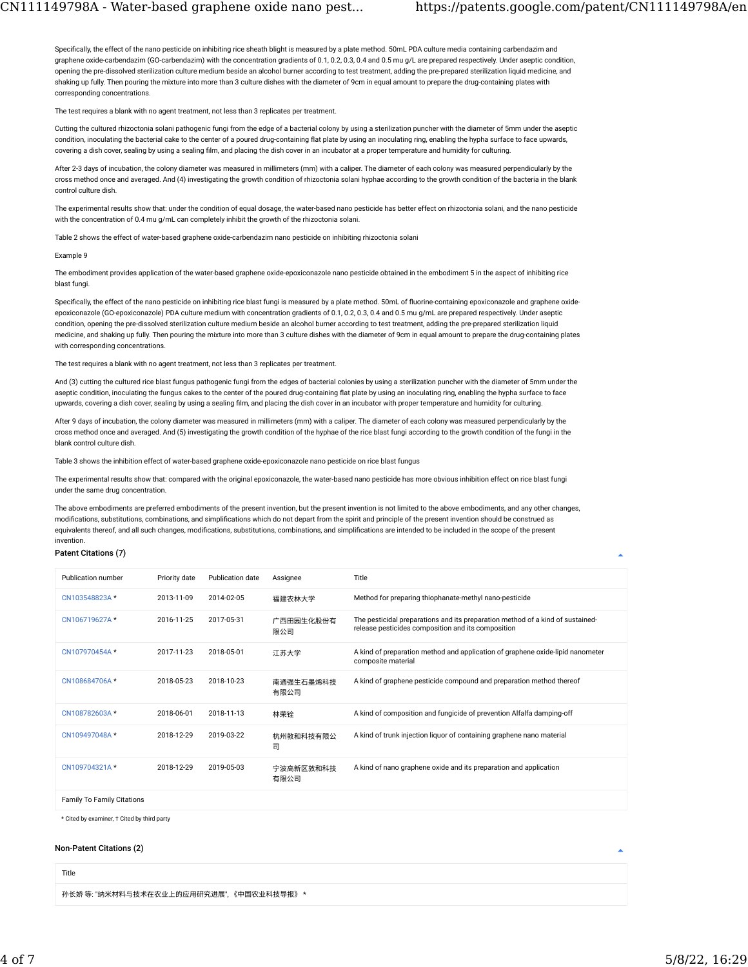Specifically, the effect of the nano pesticide on inhibiting rice sheath blight is measured by a plate method. 50mL PDA culture media containing carbendazim and graphene oxide-carbendazim (GO-carbendazim) with the concentration gradients of 0.1, 0.2, 0.3, 0.4 and 0.5 mu g/L are prepared respectively. Under aseptic condition, opening the pre-dissolved sterilization culture medium beside an alcohol burner according to test treatment, adding the pre-prepared sterilization liquid medicine, and shaking up fully. Then pouring the mixture into more than 3 culture dishes with the diameter of 9cm in equal amount to prepare the drug-containing plates with corresponding concentrations.

The test requires a blank with no agent treatment, not less than 3 replicates per treatment.

Cutting the cultured rhizoctonia solani pathogenic fungi from the edge of a bacterial colony by using a sterilization puncher with the diameter of 5mm under the aseptic condition, inoculating the bacterial cake to the center of a poured drug-containing flat plate by using an inoculating ring, enabling the hypha surface to face upwards, covering a dish cover, sealing by using a sealing film, and placing the dish cover in an incubator at a proper temperature and humidity for culturing.

After 2-3 days of incubation, the colony diameter was measured in millimeters (mm) with a caliper. The diameter of each colony was measured perpendicularly by the cross method once and averaged. And (4) investigating the growth condition of rhizoctonia solani hyphae according to the growth condition of the bacteria in the blank control culture dish.

The experimental results show that: under the condition of equal dosage, the water-based nano pesticide has better effect on rhizoctonia solani, and the nano pesticide with the concentration of 0.4 mu g/mL can completely inhibit the growth of the rhizoctonia solani.

Table 2 shows the effect of water-based graphene oxide-carbendazim nano pesticide on inhibiting rhizoctonia solani

#### Example 9

The embodiment provides application of the water-based graphene oxide-epoxiconazole nano pesticide obtained in the embodiment 5 in the aspect of inhibiting rice blast fungi.

Specifically, the effect of the nano pesticide on inhibiting rice blast fungi is measured by a plate method. 50mL of fluorine-containing epoxiconazole and graphene oxideepoxiconazole (GO-epoxiconazole) PDA culture medium with concentration gradients of 0.1, 0.2, 0.3, 0.4 and 0.5 mu g/mL are prepared respectively. Under aseptic condition, opening the pre-dissolved sterilization culture medium beside an alcohol burner according to test treatment, adding the pre-prepared sterilization liquid medicine, and shaking up fully. Then pouring the mixture into more than 3 culture dishes with the diameter of 9cm in equal amount to prepare the drug-containing plates with corresponding concentrations.

The test requires a blank with no agent treatment, not less than 3 replicates per treatment.

And (3) cutting the cultured rice blast fungus pathogenic fungi from the edges of bacterial colonies by using a sterilization puncher with the diameter of 5mm under the aseptic condition, inoculating the fungus cakes to the center of the poured drug-containing flat plate by using an inoculating ring, enabling the hypha surface to face upwards, covering a dish cover, sealing by using a sealing film, and placing the dish cover in an incubator with proper temperature and humidity for culturing.

After 9 days of incubation, the colony diameter was measured in millimeters (mm) with a caliper. The diameter of each colony was measured perpendicularly by the cross method once and averaged. And (5) investigating the growth condition of the hyphae of the rice blast fungi according to the growth condition of the fungi in the blank control culture dish.

Table 3 shows the inhibition effect of water-based graphene oxide-epoxiconazole nano pesticide on rice blast fungus

The experimental results show that: compared with the original epoxiconazole, the water-based nano pesticide has more obvious inhibition effect on rice blast fungi under the same drug concentration.

The above embodiments are preferred embodiments of the present invention, but the present invention is not limited to the above embodiments, and any other changes, modifications, substitutions, combinations, and simplifications which do not depart from the spirit and principle of the present invention should be construed as equivalents thereof, and all such changes, modifications, substitutions, combinations, and simplifications are intended to be included in the scope of the present invention.

## Patent Citations (7)

| Publication number                | Priority date | Publication date | Assignee          | Title                                                                                                                                |
|-----------------------------------|---------------|------------------|-------------------|--------------------------------------------------------------------------------------------------------------------------------------|
| CN103548823A*                     | 2013-11-09    | 2014-02-05       | 福建农林大学            | Method for preparing thiophanate-methyl nano-pesticide                                                                               |
| CN106719627A *                    | 2016-11-25    | 2017-05-31       | 广西田园生化股份有<br>限公司  | The pesticidal preparations and its preparation method of a kind of sustained-<br>release pesticides composition and its composition |
| CN107970454A *                    | 2017-11-23    | 2018-05-01       | 江苏大学              | A kind of preparation method and application of graphene oxide-lipid nanometer<br>composite material                                 |
| CN108684706A*                     | 2018-05-23    | 2018-10-23       | 南通强生石墨烯科技<br>有限公司 | A kind of graphene pesticide compound and preparation method thereof                                                                 |
| CN108782603A*                     | 2018-06-01    | 2018-11-13       | 林荣铨               | A kind of composition and fungicide of prevention Alfalfa damping-off                                                                |
| CN109497048A *                    | 2018-12-29    | 2019-03-22       | 杭州敦和科技有限公<br>司    | A kind of trunk injection liquor of containing graphene nano material                                                                |
| CN109704321A *                    | 2018-12-29    | 2019-05-03       | 宁波高新区敦和科技<br>有限公司 | A kind of nano graphene oxide and its preparation and application                                                                    |
| <b>Family To Family Citations</b> |               |                  |                   |                                                                                                                                      |

\* Cited by examiner, † Cited by third party

# Non-Patent Citations (2)

Title

孙长娇 等: "纳米材料与技术在农业上的应用研究进展", 《中国农业科技导报》 \*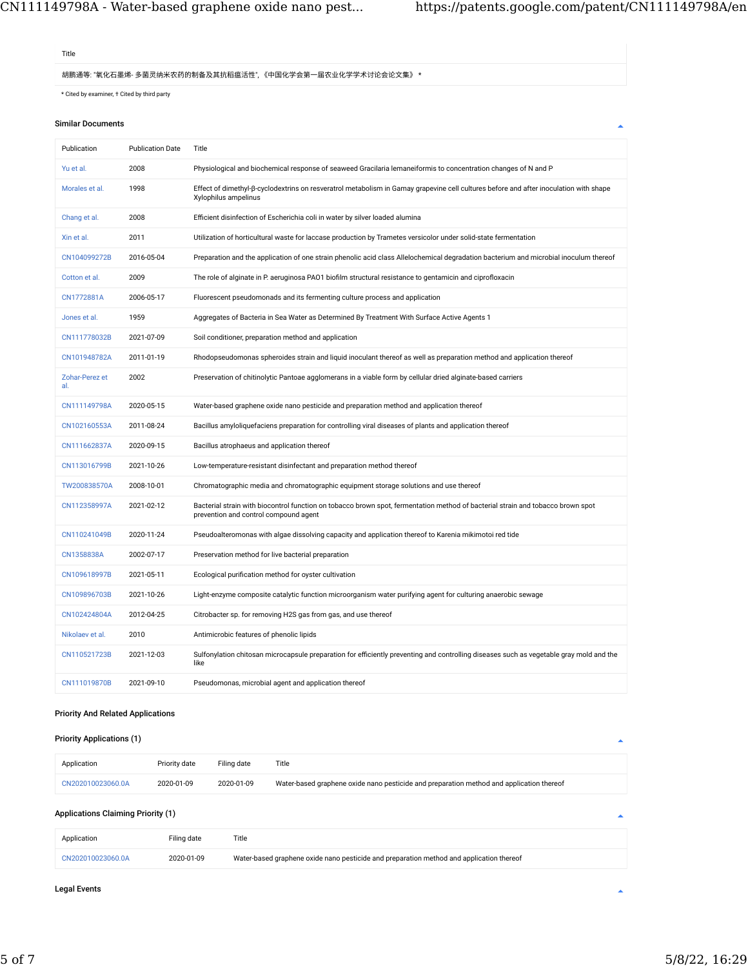# Title

胡鹏通等: "氧化石墨烯- 多菌灵纳米农药的制备及其抗稻瘟活性", 《中国化学会第一届农业化学学术讨论会论文集》 \*

 $^\star$  Cited by examiner,  $\textnormal{\textsf{+}}$  Cited by third party

# Similar Documents

| Publication           | <b>Publication Date</b> | Title                                                                                                                                                                    |
|-----------------------|-------------------------|--------------------------------------------------------------------------------------------------------------------------------------------------------------------------|
| Yu et al.             | 2008                    | Physiological and biochemical response of seaweed Gracilaria lemaneiformis to concentration changes of N and P                                                           |
| Morales et al.        | 1998                    | Effect of dimethyl-β-cyclodextrins on resveratrol metabolism in Gamay grapevine cell cultures before and after inoculation with shape<br>Xylophilus ampelinus            |
| Chang et al.          | 2008                    | Efficient disinfection of Escherichia coli in water by silver loaded alumina                                                                                             |
| Xin et al.            | 2011                    | Utilization of horticultural waste for laccase production by Trametes versicolor under solid-state fermentation                                                          |
| CN104099272B          | 2016-05-04              | Preparation and the application of one strain phenolic acid class Allelochemical degradation bacterium and microbial inoculum thereof                                    |
| Cotton et al.         | 2009                    | The role of alginate in P. aeruginosa PAO1 biofilm structural resistance to gentamicin and ciprofloxacin                                                                 |
| CN1772881A            | 2006-05-17              | Fluorescent pseudomonads and its fermenting culture process and application                                                                                              |
| Jones et al.          | 1959                    | Aggregates of Bacteria in Sea Water as Determined By Treatment With Surface Active Agents 1                                                                              |
| CN111778032B          | 2021-07-09              | Soil conditioner, preparation method and application                                                                                                                     |
| CN101948782A          | 2011-01-19              | Rhodopseudomonas spheroides strain and liquid inoculant thereof as well as preparation method and application thereof                                                    |
| Zohar-Perez et<br>al. | 2002                    | Preservation of chitinolytic Pantoae agglomerans in a viable form by cellular dried alginate-based carriers                                                              |
| CN111149798A          | 2020-05-15              | Water-based graphene oxide nano pesticide and preparation method and application thereof                                                                                 |
| CN102160553A          | 2011-08-24              | Bacillus amyloliquefaciens preparation for controlling viral diseases of plants and application thereof                                                                  |
| CN111662837A          | 2020-09-15              | Bacillus atrophaeus and application thereof                                                                                                                              |
| CN113016799B          | 2021-10-26              | Low-temperature-resistant disinfectant and preparation method thereof                                                                                                    |
| TW200838570A          | 2008-10-01              | Chromatographic media and chromatographic equipment storage solutions and use thereof                                                                                    |
| CN112358997A          | 2021-02-12              | Bacterial strain with biocontrol function on tobacco brown spot, fermentation method of bacterial strain and tobacco brown spot<br>prevention and control compound agent |
| CN110241049B          | 2020-11-24              | Pseudoalteromonas with algae dissolving capacity and application thereof to Karenia mikimotoi red tide                                                                   |
| CN1358838A            | 2002-07-17              | Preservation method for live bacterial preparation                                                                                                                       |
| CN109618997B          | 2021-05-11              | Ecological purification method for oyster cultivation                                                                                                                    |
| CN109896703B          | 2021-10-26              | Light-enzyme composite catalytic function microorganism water purifying agent for culturing anaerobic sewage                                                             |
| CN102424804A          | 2012-04-25              | Citrobacter sp. for removing H2S gas from gas, and use thereof                                                                                                           |
| Nikolaev et al.       | 2010                    | Antimicrobic features of phenolic lipids                                                                                                                                 |
| CN110521723B          | 2021-12-03              | Sulfonylation chitosan microcapsule preparation for efficiently preventing and controlling diseases such as vegetable gray mold and the<br>like                          |
| CN111019870B          | 2021-09-10              | Pseudomonas, microbial agent and application thereof                                                                                                                     |

# Priority And Related Applications

Priority Applications (1)

| Application       | Priority date | Filing date | Title                                                                                    |
|-------------------|---------------|-------------|------------------------------------------------------------------------------------------|
| CN202010023060.0A | 2020-01-09    | 2020-01-09  | Water-based graphene oxide nano pesticide and preparation method and application thereof |

# Applications Claiming Priority (1)

| Application       | Filing date | Title                                                                                    |
|-------------------|-------------|------------------------------------------------------------------------------------------|
| CN202010023060.0A | 2020-01-09  | Water-based graphene oxide nano pesticide and preparation method and application thereof |

# Legal Events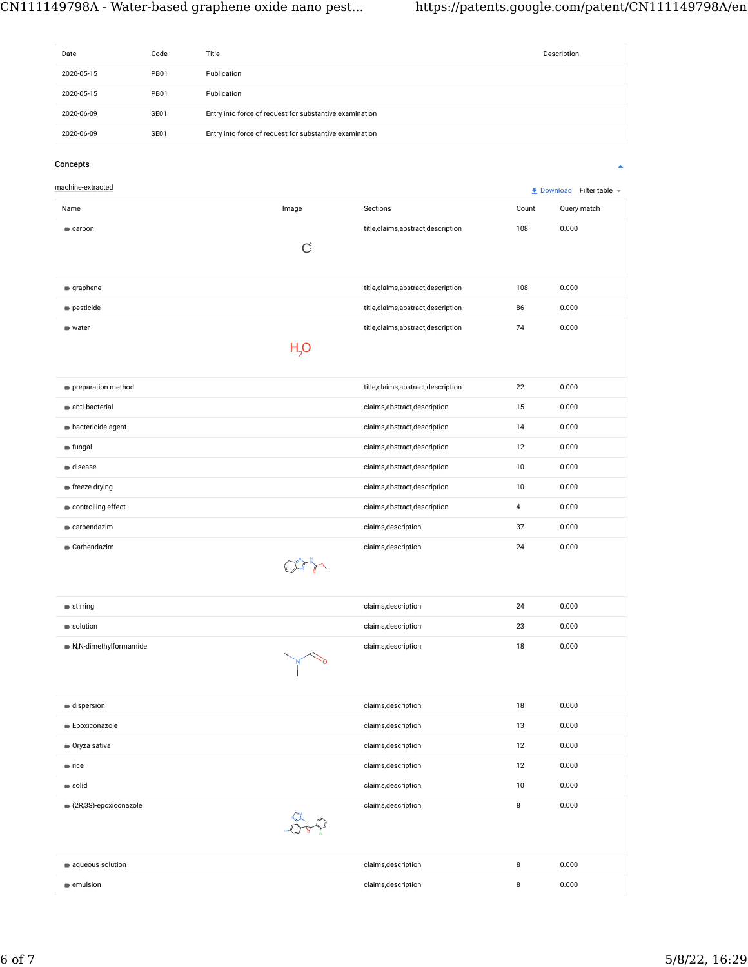| Date                     | Code        | Title                                                   |                                   |                | Description             |
|--------------------------|-------------|---------------------------------------------------------|-----------------------------------|----------------|-------------------------|
| 2020-05-15               | <b>PB01</b> | Publication                                             |                                   |                |                         |
| 2020-05-15               | <b>PB01</b> | Publication                                             |                                   |                |                         |
|                          |             |                                                         |                                   |                |                         |
| 2020-06-09               | SE01        | Entry into force of request for substantive examination |                                   |                |                         |
| 2020-06-09               | SE01        | Entry into force of request for substantive examination |                                   |                |                         |
| Concepts                 |             |                                                         |                                   |                | ▲                       |
| machine-extracted        |             |                                                         |                                   |                | Download Filter table + |
| Name                     |             | Image                                                   | Sections                          | Count          | Query match             |
| $\bullet$ carbon         |             |                                                         | title,claims,abstract,description | 108            | 0.000                   |
|                          |             | $\mathsf{C}$                                            |                                   |                |                         |
|                          |             |                                                         |                                   |                |                         |
| graphene                 |             |                                                         | title,claims,abstract,description | 108            | 0.000                   |
| pesticide                |             |                                                         | title,claims,abstract,description | 86             | 0.000                   |
| • water                  |             |                                                         | title,claims,abstract,description | 74             | 0.000                   |
|                          |             | H <sub>2</sub> O                                        |                                   |                |                         |
|                          |             |                                                         |                                   |                |                         |
| preparation method       |             |                                                         | title,claims,abstract,description | 22             | 0.000                   |
| anti-bacterial           |             |                                                         | claims,abstract,description       | 15             | 0.000                   |
| <b>bactericide agent</b> |             |                                                         | claims,abstract,description       | 14             | 0.000                   |
| fungal                   |             |                                                         | claims, abstract, description     | 12             | 0.000                   |
| disease                  |             |                                                         | claims,abstract,description       | 10             | 0.000                   |
| ■ freeze drying          |             |                                                         | claims, abstract, description     | 10             | 0.000                   |
| controlling effect       |             |                                                         | claims, abstract, description     | $\overline{4}$ | 0.000                   |
| earbendazim              |             |                                                         | claims, description               | 37             | 0.000                   |
| Carbendazim              |             |                                                         | claims, description               | 24             | 0.000                   |
|                          |             |                                                         |                                   |                |                         |
|                          |             |                                                         |                                   |                |                         |
| $\bullet$ stirring       |             |                                                         | claims, description               | 24             | 0.000                   |
| solution                 |             |                                                         | claims, description               | 23             | 0.000                   |
| N,N-dimethylformamide    |             |                                                         | claims, description               | 18             | 0.000                   |
|                          |             | ٧ò                                                      |                                   |                |                         |
|                          |             |                                                         |                                   |                |                         |
| dispersion               |             |                                                         | claims, description               | 18             | 0.000                   |
| <b>Epoxiconazole</b>     |             |                                                         | claims, description               | 13             | 0.000                   |
| Oryza sativa             |             |                                                         | claims, description               | 12             | 0.000                   |
| $\blacksquare$ rice      |             |                                                         | claims, description               | 12             | 0.000                   |
| solid                    |             |                                                         | claims, description               | 10             | 0.000                   |
| ● (2R,3S)-epoxiconazole  |             |                                                         | claims, description               | 8              | 0.000                   |
|                          |             | $\frac{1}{2}$                                           |                                   |                |                         |
|                          |             |                                                         |                                   |                |                         |
| aqueous solution         |             |                                                         | claims, description               | 8              | 0.000                   |
| emulsion                 |             |                                                         | claims, description               | 8              | 0.000                   |